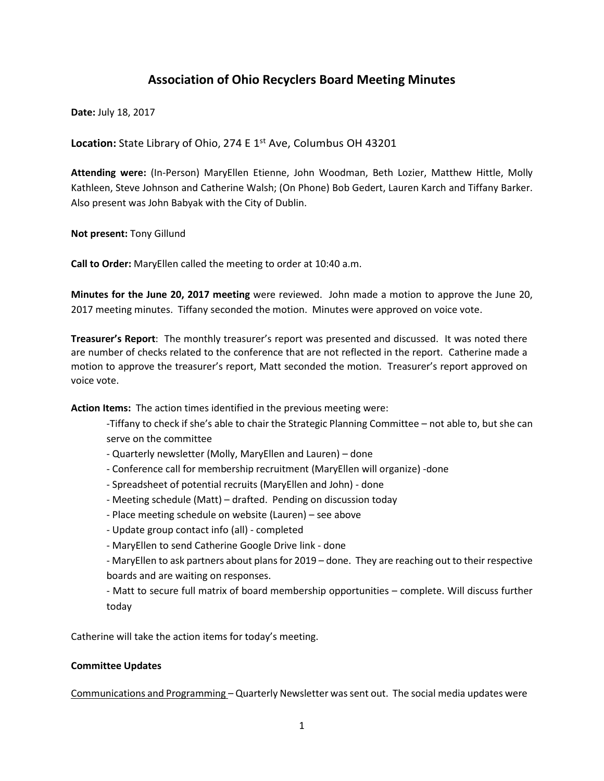# **Association of Ohio Recyclers Board Meeting Minutes**

**Date:** July 18, 2017

Location: State Library of Ohio, 274 E 1<sup>st</sup> Ave, Columbus OH 43201

**Attending were:** (In-Person) MaryEllen Etienne, John Woodman, Beth Lozier, Matthew Hittle, Molly Kathleen, Steve Johnson and Catherine Walsh; (On Phone) Bob Gedert, Lauren Karch and Tiffany Barker. Also present was John Babyak with the City of Dublin.

**Not present:** Tony Gillund

**Call to Order:** MaryEllen called the meeting to order at 10:40 a.m.

**Minutes for the June 20, 2017 meeting** were reviewed. John made a motion to approve the June 20, 2017 meeting minutes. Tiffany seconded the motion. Minutes were approved on voice vote.

**Treasurer's Report**: The monthly treasurer's report was presented and discussed. It was noted there are number of checks related to the conference that are not reflected in the report. Catherine made a motion to approve the treasurer's report, Matt seconded the motion. Treasurer's report approved on voice vote.

**Action Items:** The action times identified in the previous meeting were:

- -Tiffany to check if she's able to chair the Strategic Planning Committee not able to, but she can serve on the committee
- Quarterly newsletter (Molly, MaryEllen and Lauren) done
- Conference call for membership recruitment (MaryEllen will organize) -done
- Spreadsheet of potential recruits (MaryEllen and John) done
- Meeting schedule (Matt) drafted. Pending on discussion today
- Place meeting schedule on website (Lauren) see above
- Update group contact info (all) completed
- MaryEllen to send Catherine Google Drive link done

- MaryEllen to ask partners about plans for 2019 – done. They are reaching out to their respective boards and are waiting on responses.

- Matt to secure full matrix of board membership opportunities – complete. Will discuss further today

Catherine will take the action items for today's meeting.

# **Committee Updates**

Communications and Programming – Quarterly Newsletter was sent out. The social media updates were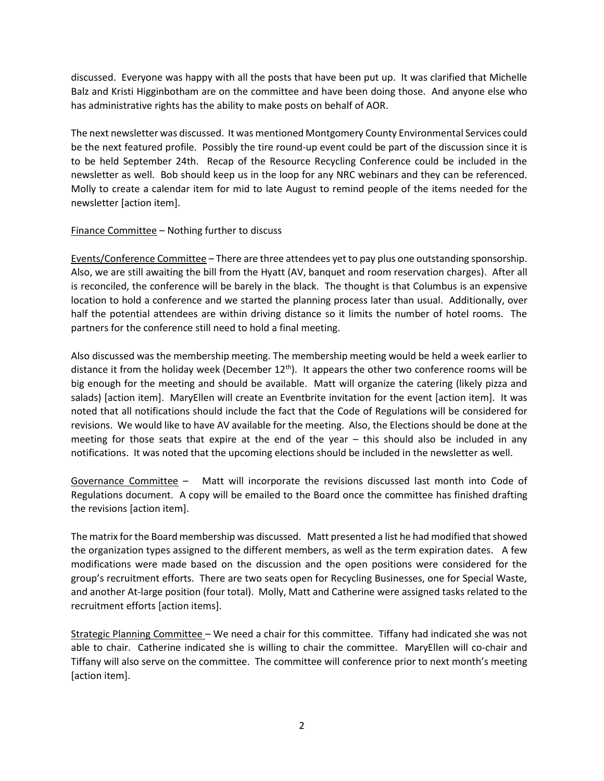discussed. Everyone was happy with all the posts that have been put up. It was clarified that Michelle Balz and Kristi Higginbotham are on the committee and have been doing those. And anyone else who has administrative rights has the ability to make posts on behalf of AOR.

The next newsletter was discussed. It was mentioned Montgomery County Environmental Services could be the next featured profile. Possibly the tire round-up event could be part of the discussion since it is to be held September 24th. Recap of the Resource Recycling Conference could be included in the newsletter as well. Bob should keep us in the loop for any NRC webinars and they can be referenced. Molly to create a calendar item for mid to late August to remind people of the items needed for the newsletter [action item].

# Finance Committee – Nothing further to discuss

Events/Conference Committee – There are three attendees yet to pay plus one outstanding sponsorship. Also, we are still awaiting the bill from the Hyatt (AV, banquet and room reservation charges). After all is reconciled, the conference will be barely in the black. The thought is that Columbus is an expensive location to hold a conference and we started the planning process later than usual. Additionally, over half the potential attendees are within driving distance so it limits the number of hotel rooms. The partners for the conference still need to hold a final meeting.

Also discussed was the membership meeting. The membership meeting would be held a week earlier to distance it from the holiday week (December 12<sup>th</sup>). It appears the other two conference rooms will be big enough for the meeting and should be available. Matt will organize the catering (likely pizza and salads) [action item]. MaryEllen will create an Eventbrite invitation for the event [action item]. It was noted that all notifications should include the fact that the Code of Regulations will be considered for revisions. We would like to have AV available for the meeting. Also, the Elections should be done at the meeting for those seats that expire at the end of the year – this should also be included in any notifications. It was noted that the upcoming elections should be included in the newsletter as well.

Governance Committee – Matt will incorporate the revisions discussed last month into Code of Regulations document. A copy will be emailed to the Board once the committee has finished drafting the revisions [action item].

The matrix for the Board membership was discussed. Matt presented a list he had modified that showed the organization types assigned to the different members, as well as the term expiration dates. A few modifications were made based on the discussion and the open positions were considered for the group's recruitment efforts. There are two seats open for Recycling Businesses, one for Special Waste, and another At-large position (four total). Molly, Matt and Catherine were assigned tasks related to the recruitment efforts [action items].

Strategic Planning Committee – We need a chair for this committee. Tiffany had indicated she was not able to chair. Catherine indicated she is willing to chair the committee. MaryEllen will co-chair and Tiffany will also serve on the committee. The committee will conference prior to next month's meeting [action item].